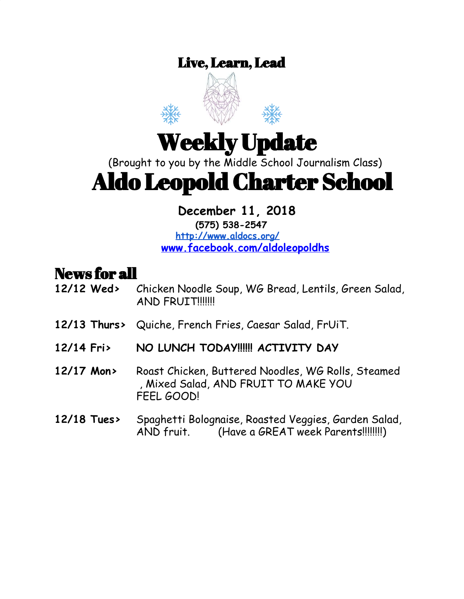### Live, Learn, Lead



# Weekly Update

(Brought to you by the Middle School Journalism Class)

# Aldo Leopold Charter School

### **December 11, 2018**

**(575) 538-2547 <http://www.aldocs.org/> [www.facebook.com/aldoleopoldhs](http://www.facebook.com/aldoleopoldhs/)**

### News for all

- **12/12 Wed>** Chicken Noodle Soup, WG Bread, Lentils, Green Salad, AND FRUIT!!!!!!!
- **12/13 Thurs>** Quiche, French Fries, Caesar Salad, FrUiT.
- **12/14 Fri> NO LUNCH TODAY!!!!!! ACTIVITY DAY**
- **12/17 Mon>** Roast Chicken, Buttered Noodles, WG Rolls, Steamed , Mixed Salad, AND FRUIT TO MAKE YOU FEEL GOOD!

#### **12/18 Tues>** Spaghetti Bolognaise, Roasted Veggies, Garden Salad, AND fruit. (Have a GREAT week Parents!!!!!!!!)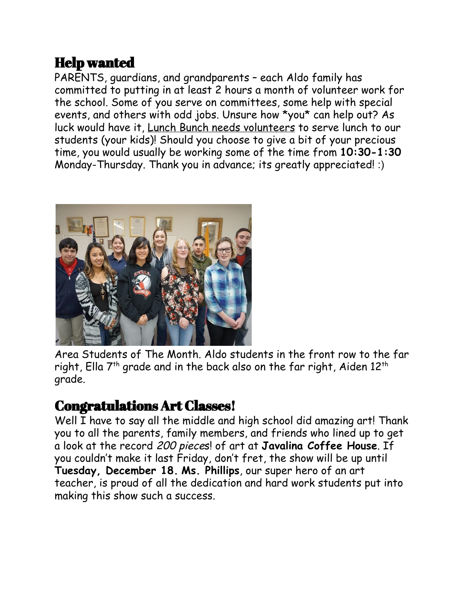### Help wanted

PARENTS, guardians, and grandparents – each Aldo family has committed to putting in at least 2 hours a month of volunteer work for the school. Some of you serve on committees, some help with special events, and others with odd jobs. Unsure how \*you\* can help out? As luck would have it, Lunch Bunch needs volunteers to serve lunch to our students (your kids)! Should you choose to give a bit of your precious time, you would usually be working some of the time from **10:30-1:30** Monday-Thursday. Thank you in advance; its greatly appreciated! :)



Area Students of The Month. Aldo students in the front row to the far right, Ella 7th grade and in the back also on the far right, Aiden 12th grade.

### Congratulations Art Classes!

Well I have to say all the middle and high school did amazing art! Thank you to all the parents, family members, and friends who lined up to get a look at the record 200 pieces! of art at **Javalina Coffee House**. If you couldn't make it last Friday, don't fret, the show will be up until **Tuesday, December 18. Ms. Phillips**, our super hero of an art teacher, is proud of all the dedication and hard work students put into making this show such a success.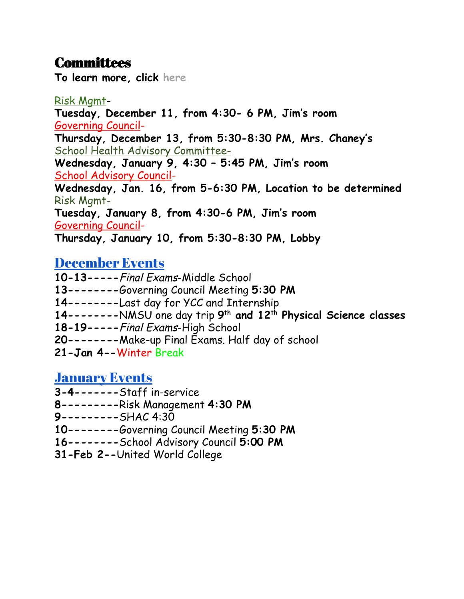### **Committees**

**To learn more, click [here](https://www.aldocs.org/committees.html)**

Risk [Mgmt](https://www.aldocs.org/risk-management.html)-**Tuesday, December 11, from 4:30- 6 PM, Jim's room** [Governing](https://www.aldocs.org/about-the-alcs-governing-council.html) Council-**Thursday, December 13, from 5:30-8:30 PM, Mrs. Chaney's** School Health Advisory Committee-**Wednesday, January 9, 4:30 – 5:45 PM, Jim's room** School [Advisory](https://www.aldocs.org/school-advisory-council.html) Council-**Wednesday, Jan. 16, from 5-6:30 PM, Location to be determined** Risk [Mgmt](https://www.aldocs.org/risk-management.html)-**Tuesday, January 8, from 4:30-6 PM, Jim's room** [Governing](https://www.aldocs.org/about-the-alcs-governing-council.html) Council-**Thursday, January 10, from 5:30-8:30 PM, Lobby**

#### [December](https://www.aldocs.org/calendar.html) Events

**10-13-----**Final Exams-Middle School **13--------**Governing Council Meeting **5:30 PM 14--------**Last day for YCC and Internship **14--------**NMSU one day trip **9 th and 12 th Physical Science classes 18-19-----**Final Exams-High School **20--------**Make-up Final Exams. Half day of school **21-Jan 4--**Winter Break [January](https://www.aldocs.org/calendar.html) Events

**3-4-------**Staff in-service

- **8---------**Risk Management **4:30 PM**
- **9---------**SHAC 4:30
- **10--------**Governing Council Meeting **5:30 PM**
- **16--------**School Advisory Council **5:00 PM**
- **31-Feb 2--**United World College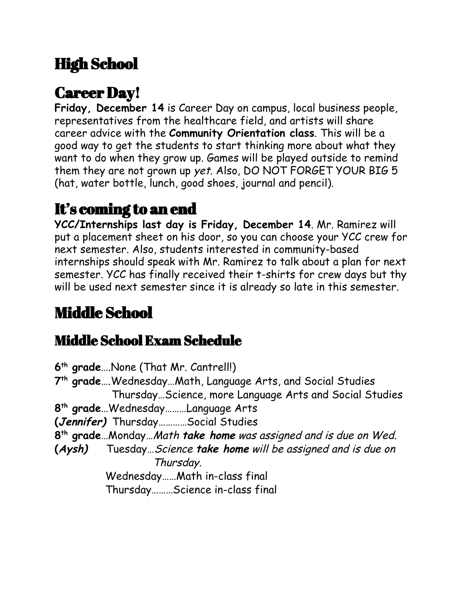# High School

# Career Day!

**Friday, December 14** is Career Day on campus, local business people, representatives from the healthcare field, and artists will share career advice with the **Community Orientation class**. This will be a good way to get the students to start thinking more about what they want to do when they grow up. Games will be played outside to remind them they are not grown up yet. Also, DO NOT FORGET YOUR BIG 5 (hat, water bottle, lunch, good shoes, journal and pencil).

## It's coming to an end

**YCC/Internships last day is Friday, December 14**. Mr. Ramirez will put a placement sheet on his door, so you can choose your YCC crew for next semester. Also, students interested in community-based internships should speak with Mr. Ramirez to talk about a plan for next semester. YCC has finally received their t-shirts for crew days but thy will be used next semester since it is already so late in this semester.

# Middle School

### Middle School Exam Schedule

**6 th grade**….None (That Mr. Cantrell!) **7 th grade**….Wednesday…Math, Language Arts, and Social Studies Thursday…Science, more Language Arts and Social Studies **8 th grade**…Wednesday………Language Arts **(Jennifer)** Thursday…………Social Studies **8 th grade**…Monday…Math **take home** was assigned and is due on Wed. **(Aysh)** Tuesday…Science **take home** will be assigned and is due on Thursday. Wednesday……Math in-class final Thursday………Science in-class final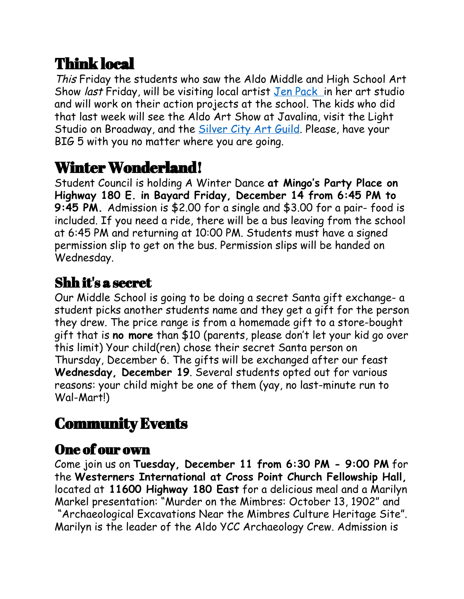# Think local

This Friday the students who saw the Aldo Middle and High School Art Show *last* Friday, will be visiting local artist Jen [Pack](https://www.jenpack.com/) in her art studio and will work on their action projects at the school. The kids who did that last week will see the Aldo Art Show at Javalina, visit the Light Studio on Broadway, and the **[Silver](http://www.grantcountybeat.com/index.php?option=com_content&view=article&id=47918:grant-county-art-guild-to-host-aldo-leopold-art-students&catid=8:news-releases) City Art Guild**. Please, have your BIG 5 with you no matter where you are going.

# Winter Wonderland!

Student Council is holding A Winter Dance **at Mingo's Party Place on Highway 180 E. in Bayard Friday, December 14 from 6:45 PM to 9:45 PM.** Admission is \$2.00 for a single and \$3.00 for a pair- food is included. If you need a ride, there will be a bus leaving from the school at 6:45 PM and returning at 10:00 PM. Students must have a signed permission slip to get on the bus. Permission slips will be handed on Wednesday.

### Shh it's a secret

Our Middle School is going to be doing a secret Santa gift exchange- a student picks another students name and they get a gift for the person they drew. The price range is from a homemade gift to a store-bought gift that is **no more** than \$10 (parents, please don't let your kid go over this limit) Your child(ren) chose their secret Santa person on Thursday, December 6. The gifts will be exchanged after our feast **Wednesday, December 19**. Several students opted out for various reasons: your child might be one of them (yay, no last-minute run to Wal-Mart!)

# Community Events

### One of our own

Come join us on **Tuesday, December 11 from 6:30 PM - 9:00 PM** for the **Westerners International at Cross Point Church Fellowship Hall,** located at **11600 Highway 180 East** for a delicious meal and a Marilyn Markel presentation: "Murder on the Mimbres: October 13, 1902" and "Archaeological Excavations Near the Mimbres Culture Heritage Site". Marilyn is the leader of the Aldo YCC Archaeology Crew. Admission is